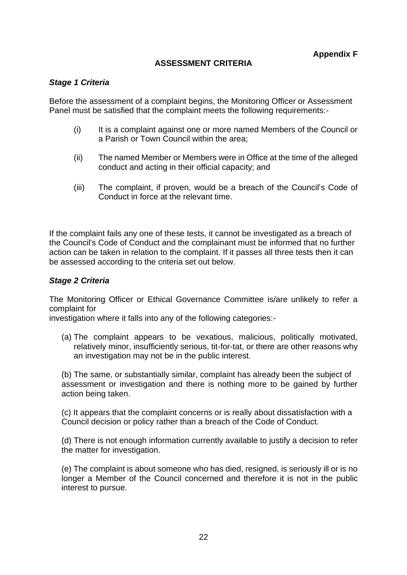## **ASSESSMENT CRITERIA**

## *Stage 1 Criteria*

Before the assessment of a complaint begins, the Monitoring Officer or Assessment Panel must be satisfied that the complaint meets the following requirements:-

- (i) It is a complaint against one or more named Members of the Council or a Parish or Town Council within the area;
- (ii) The named Member or Members were in Office at the time of the alleged conduct and acting in their official capacity; and
- (iii) The complaint, if proven, would be a breach of the Council's Code of Conduct in force at the relevant time.

If the complaint fails any one of these tests, it cannot be investigated as a breach of the Council's Code of Conduct and the complainant must be informed that no further action can be taken in relation to the complaint. If it passes all three tests then it can be assessed according to the criteria set out below.

## *Stage 2 Criteria*

The Monitoring Officer or Ethical Governance Committee is/are unlikely to refer a complaint for

investigation where it falls into any of the following categories:-

(a) The complaint appears to be vexatious, malicious, politically motivated, relatively minor, insufficiently serious, tit-for-tat, or there are other reasons why an investigation may not be in the public interest.

(b) The same, or substantially similar, complaint has already been the subject of assessment or investigation and there is nothing more to be gained by further action being taken.

(c) It appears that the complaint concerns or is really about dissatisfaction with a Council decision or policy rather than a breach of the Code of Conduct.

(d) There is not enough information currently available to justify a decision to refer the matter for investigation.

(e) The complaint is about someone who has died, resigned, is seriously ill or is no longer a Member of the Council concerned and therefore it is not in the public interest to pursue.